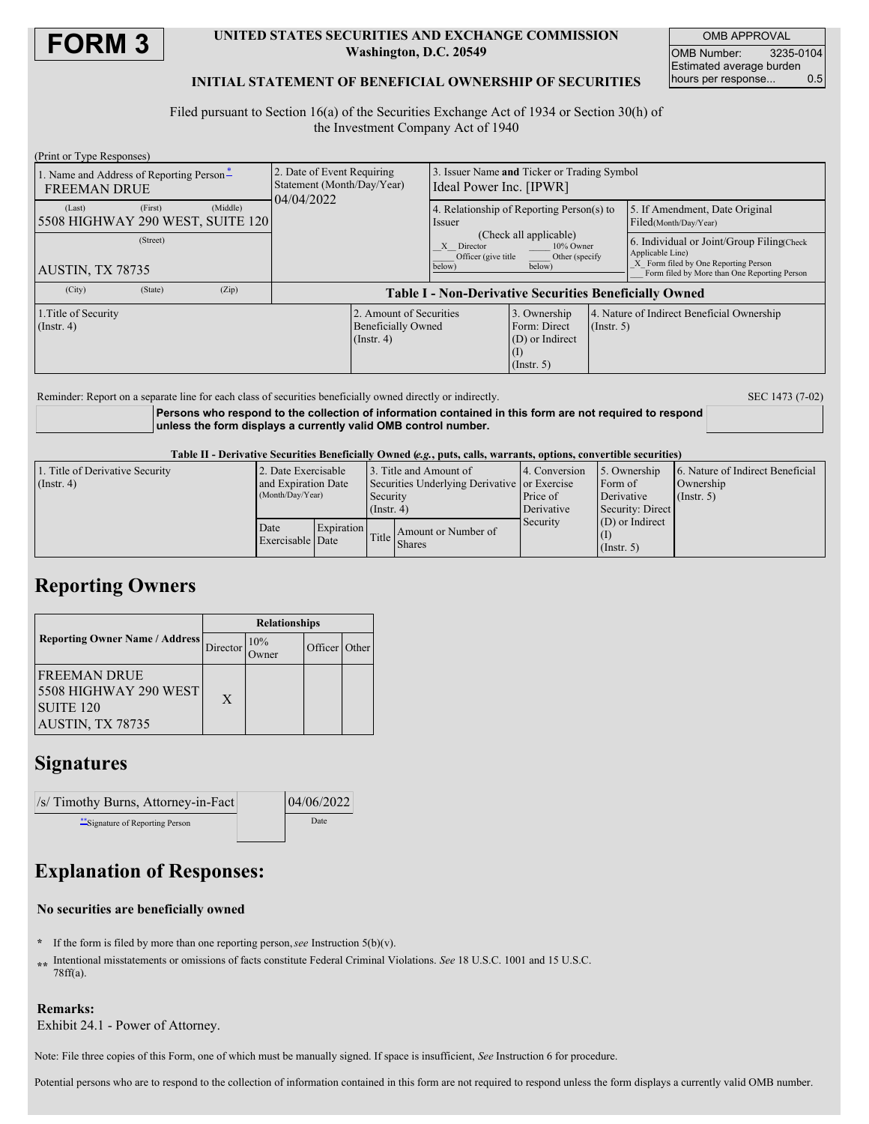

### **UNITED STATES SECURITIES AND EXCHANGE COMMISSION Washington, D.C. 20549**

OMB APPROVAL OMB Number: 3235-0104 Estimated average burden hours per response... 0.5

### **INITIAL STATEMENT OF BENEFICIAL OWNERSHIP OF SECURITIES**

Filed pursuant to Section 16(a) of the Securities Exchange Act of 1934 or Section 30(h) of the Investment Company Act of 1940

| (Print or Type Responses)                                       |         |          |                                                                          |                                   |                                                                        |                                                             |  |                                                                                                        |  |
|-----------------------------------------------------------------|---------|----------|--------------------------------------------------------------------------|-----------------------------------|------------------------------------------------------------------------|-------------------------------------------------------------|--|--------------------------------------------------------------------------------------------------------|--|
| 1. Name and Address of Reporting Person-<br><b>FREEMAN DRUE</b> |         |          | 2. Date of Event Requiring<br>Statement (Month/Day/Year)<br>04/04/2022   |                                   | 3. Issuer Name and Ticker or Trading Symbol<br>Ideal Power Inc. [IPWR] |                                                             |  |                                                                                                        |  |
| (Last)<br>5508 HIGHWAY 290 WEST, SUITE 120                      | (First) | (Middle) |                                                                          |                                   | 4. Relationship of Reporting Person(s) to<br>Issuer                    |                                                             |  | 5. If Amendment, Date Original<br>Filed(Month/Day/Year)                                                |  |
| (Street)                                                        |         |          |                                                                          | X Director<br>Officer (give title |                                                                        | (Check all applicable)<br>10% Owner<br>Other (specify       |  | 6. Individual or Joint/Group Filing(Check)<br>Applicable Line)<br>X Form filed by One Reporting Person |  |
| AUSTIN, TX 78735                                                |         |          | below)<br>below)                                                         |                                   |                                                                        | Form filed by More than One Reporting Person                |  |                                                                                                        |  |
| (City)                                                          | (State) | (Zip)    | <b>Table I - Non-Derivative Securities Beneficially Owned</b>            |                                   |                                                                        |                                                             |  |                                                                                                        |  |
| 1. Title of Security<br>(Insert, 4)                             |         |          | 2. Amount of Securities<br><b>Beneficially Owned</b><br>$($ Instr. 4 $)$ |                                   | 3. Ownership<br>Form: Direct<br>(D) or Indirect<br>$($ Instr. 5 $)$    | 4. Nature of Indirect Beneficial Ownership<br>$($ Instr. 5) |  |                                                                                                        |  |
|                                                                 |         |          |                                                                          |                                   |                                                                        |                                                             |  |                                                                                                        |  |

Reminder: Report on a separate line for each class of securities beneficially owned directly or indirectly. SEC 1473 (7-02)

**Persons who respond to the collection of information contained in this form are not required to respond unless the form displays a currently valid OMB control number.**

Table II - Derivative Securities Beneficially Owned (e.g., puts, calls, warrants, options, convertible securities)

| 1. Title of Derivative Security<br>$($ Instr. 4 $)$ | 2. Date Exercisable<br>and Expiration Date<br>(Month/Day/Year) |                                | 3. Title and Amount of<br>Securities Underlying Derivative or Exercise<br>Security |                     | 4. Conversion                     | 5. Ownership      | 6. Nature of Indirect Beneficial<br>Ownership |  |
|-----------------------------------------------------|----------------------------------------------------------------|--------------------------------|------------------------------------------------------------------------------------|---------------------|-----------------------------------|-------------------|-----------------------------------------------|--|
|                                                     |                                                                |                                |                                                                                    |                     | Form of<br>Price of<br>Derivative |                   | (Insert, 5)                                   |  |
|                                                     |                                                                |                                | $($ Instr. 4 $)$                                                                   |                     | Derivative                        | Security: Direct  |                                               |  |
|                                                     | Date                                                           | Expiration<br>Exercisable Date | Title                                                                              | Amount or Number of | Security                          | $(D)$ or Indirect |                                               |  |
|                                                     |                                                                |                                |                                                                                    | <b>Shares</b>       |                                   | $($ Instr. 5 $)$  |                                               |  |

### **Reporting Owners**

|                                                                                       | <b>Relationships</b> |                     |               |  |  |
|---------------------------------------------------------------------------------------|----------------------|---------------------|---------------|--|--|
| <b>Reporting Owner Name / Address</b>                                                 | Director             | 10%<br><b>Twner</b> | Officer Other |  |  |
| IFREEMAN DRUE<br><b>5508 HIGHWAY 290 WEST</b><br><b>SUITE 120</b><br>AUSTIN, TX 78735 | X                    |                     |               |  |  |

## **Signatures**

| $\sqrt{s}$ Timothy Burns, Attorney-in-Fact | 04/06/2022 |  |  |
|--------------------------------------------|------------|--|--|
| **Signature of Reporting Person            | Date       |  |  |

# **Explanation of Responses:**

#### **No securities are beneficially owned**

- **\*** If the form is filed by more than one reporting person,*see* Instruction 5(b)(v).
- **\*\*** Intentional misstatements or omissions of facts constitute Federal Criminal Violations. *See* 18 U.S.C. 1001 and 15 U.S.C. 78ff(a).

### **Remarks:**

Exhibit 24.1 - Power of Attorney.

Note: File three copies of this Form, one of which must be manually signed. If space is insufficient, *See* Instruction 6 for procedure.

Potential persons who are to respond to the collection of information contained in this form are not required to respond unless the form displays a currently valid OMB number.